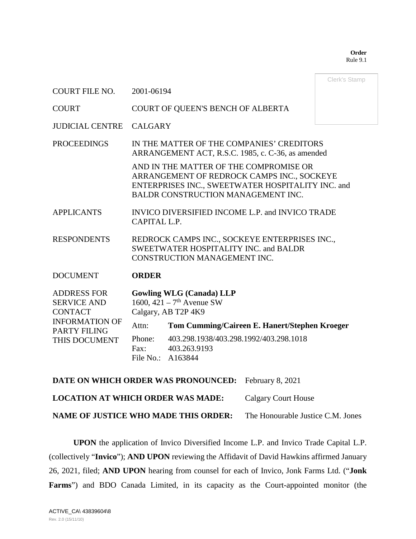**Order** Rule 9.1

|                                                                                                                             |                                                                                                                                                                                 |                                                                             | Clerk's Stamp |  |  |  |  |
|-----------------------------------------------------------------------------------------------------------------------------|---------------------------------------------------------------------------------------------------------------------------------------------------------------------------------|-----------------------------------------------------------------------------|---------------|--|--|--|--|
| <b>COURT FILE NO.</b>                                                                                                       | 2001-06194                                                                                                                                                                      |                                                                             |               |  |  |  |  |
| <b>COURT</b>                                                                                                                |                                                                                                                                                                                 | COURT OF QUEEN'S BENCH OF ALBERTA                                           |               |  |  |  |  |
| <b>JUDICIAL CENTRE</b>                                                                                                      | <b>CALGARY</b>                                                                                                                                                                  |                                                                             |               |  |  |  |  |
| <b>PROCEEDINGS</b>                                                                                                          | IN THE MATTER OF THE COMPANIES' CREDITORS<br>ARRANGEMENT ACT, R.S.C. 1985, c. C-36, as amended                                                                                  |                                                                             |               |  |  |  |  |
|                                                                                                                             | AND IN THE MATTER OF THE COMPROMISE OR<br>ARRANGEMENT OF REDROCK CAMPS INC., SOCKEYE<br>ENTERPRISES INC., SWEETWATER HOSPITALITY INC. and<br>BALDR CONSTRUCTION MANAGEMENT INC. |                                                                             |               |  |  |  |  |
| <b>APPLICANTS</b>                                                                                                           | INVICO DIVERSIFIED INCOME L.P. and INVICO TRADE<br>CAPITAL L.P.                                                                                                                 |                                                                             |               |  |  |  |  |
| <b>RESPONDENTS</b>                                                                                                          | REDROCK CAMPS INC., SOCKEYE ENTERPRISES INC.,<br><b>SWEETWATER HOSPITALITY INC. and BALDR</b><br>CONSTRUCTION MANAGEMENT INC.                                                   |                                                                             |               |  |  |  |  |
| <b>DOCUMENT</b>                                                                                                             | <b>ORDER</b>                                                                                                                                                                    |                                                                             |               |  |  |  |  |
| <b>ADDRESS FOR</b><br><b>SERVICE AND</b><br><b>CONTACT</b><br><b>INFORMATION OF</b><br><b>PARTY FILING</b><br>THIS DOCUMENT | <b>Gowling WLG (Canada) LLP</b><br>1600, $421 - 7$ <sup>th</sup> Avenue SW<br>Calgary, AB T2P 4K9                                                                               |                                                                             |               |  |  |  |  |
|                                                                                                                             | Attn:                                                                                                                                                                           | Tom Cumming/Caireen E. Hanert/Stephen Kroeger                               |               |  |  |  |  |
|                                                                                                                             | Phone:<br>Fax:                                                                                                                                                                  | 403.298.1938/403.298.1992/403.298.1018<br>403.263.9193<br>File No.: A163844 |               |  |  |  |  |

**DATE ON WHICH ORDER WAS PRONOUNCED:** February 8, 2021 **LOCATION AT WHICH ORDER WAS MADE:** Calgary Court House **NAME OF JUSTICE WHO MADE THIS ORDER:** The Honourable Justice C.M. Jones

**UPON** the application of Invico Diversified Income L.P. and Invico Trade Capital L.P. (collectively "**Invico**"); **AND UPON** reviewing the Affidavit of David Hawkins affirmed January 26, 2021, filed; **AND UPON** hearing from counsel for each of Invico, Jonk Farms Ltd. ("**Jonk Farms**") and BDO Canada Limited, in its capacity as the Court-appointed monitor (the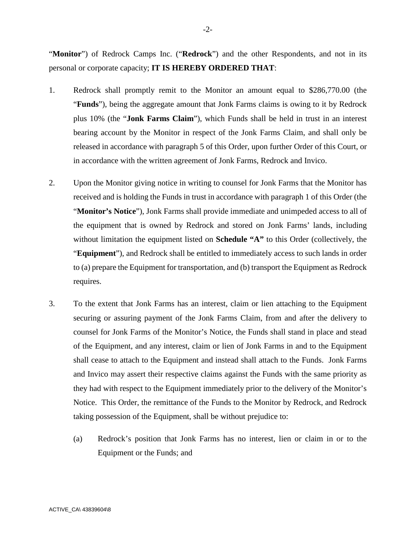"**Monitor**") of Redrock Camps Inc. ("**Redrock**") and the other Respondents, and not in its personal or corporate capacity; **IT IS HEREBY ORDERED THAT**:

- 1. Redrock shall promptly remit to the Monitor an amount equal to \$286,770.00 (the "**Funds**"), being the aggregate amount that Jonk Farms claims is owing to it by Redrock plus 10% (the "**Jonk Farms Claim**"), which Funds shall be held in trust in an interest bearing account by the Monitor in respect of the Jonk Farms Claim, and shall only be released in accordance with paragraph 5 of this Order, upon further Order of this Court, or in accordance with the written agreement of Jonk Farms, Redrock and Invico.
- 2. Upon the Monitor giving notice in writing to counsel for Jonk Farms that the Monitor has received and is holding the Funds in trust in accordance with paragraph 1 of this Order (the "**Monitor's Notice**"), Jonk Farms shall provide immediate and unimpeded access to all of the equipment that is owned by Redrock and stored on Jonk Farms' lands, including without limitation the equipment listed on **Schedule "A"** to this Order (collectively, the "**Equipment**"), and Redrock shall be entitled to immediately access to such lands in order to (a) prepare the Equipment for transportation, and (b) transport the Equipment as Redrock requires.
- 3. To the extent that Jonk Farms has an interest, claim or lien attaching to the Equipment securing or assuring payment of the Jonk Farms Claim, from and after the delivery to counsel for Jonk Farms of the Monitor's Notice, the Funds shall stand in place and stead of the Equipment, and any interest, claim or lien of Jonk Farms in and to the Equipment shall cease to attach to the Equipment and instead shall attach to the Funds. Jonk Farms and Invico may assert their respective claims against the Funds with the same priority as they had with respect to the Equipment immediately prior to the delivery of the Monitor's Notice. This Order, the remittance of the Funds to the Monitor by Redrock, and Redrock taking possession of the Equipment, shall be without prejudice to:
	- (a) Redrock's position that Jonk Farms has no interest, lien or claim in or to the Equipment or the Funds; and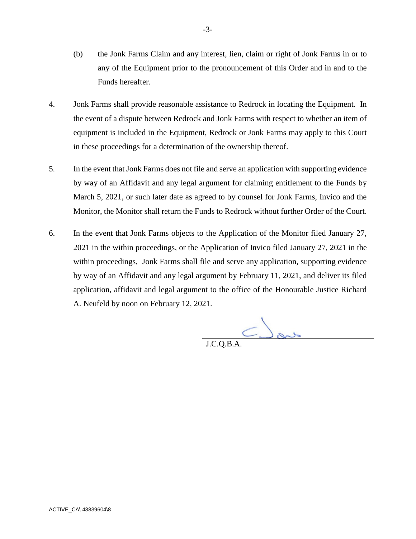- (b) the Jonk Farms Claim and any interest, lien, claim or right of Jonk Farms in or to any of the Equipment prior to the pronouncement of this Order and in and to the Funds hereafter.
- 4. Jonk Farms shall provide reasonable assistance to Redrock in locating the Equipment. In the event of a dispute between Redrock and Jonk Farms with respect to whether an item of equipment is included in the Equipment, Redrock or Jonk Farms may apply to this Court in these proceedings for a determination of the ownership thereof.
- 5. In the event that Jonk Farms does not file and serve an application with supporting evidence by way of an Affidavit and any legal argument for claiming entitlement to the Funds by March 5, 2021, or such later date as agreed to by counsel for Jonk Farms, Invico and the Monitor, the Monitor shall return the Funds to Redrock without further Order of the Court.
- 6. In the event that Jonk Farms objects to the Application of the Monitor filed January 27, 2021 in the within proceedings, or the Application of Invico filed January 27, 2021 in the within proceedings, Jonk Farms shall file and serve any application, supporting evidence by way of an Affidavit and any legal argument by February 11, 2021, and deliver its filed application, affidavit and legal argument to the office of the Honourable Justice Richard A. Neufeld by noon on February 12, 2021.

 $C$  and

J.C.Q.B.A.